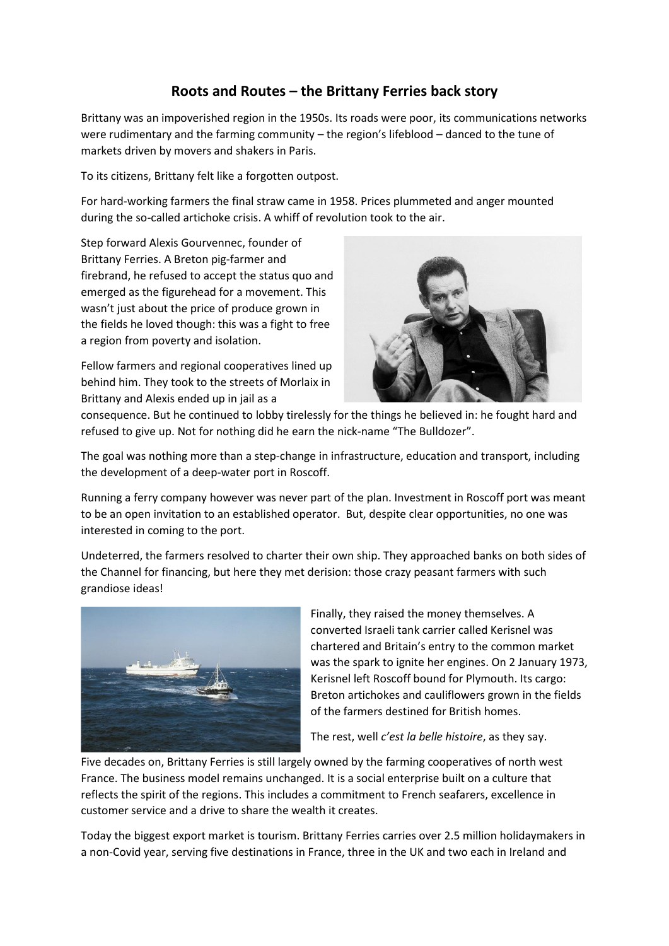## **Roots and Routes – the Brittany Ferries back story**

Brittany was an impoverished region in the 1950s. Its roads were poor, its communications networks were rudimentary and the farming community – the region's lifeblood – danced to the tune of markets driven by movers and shakers in Paris.

To its citizens, Brittany felt like a forgotten outpost.

For hard-working farmers the final straw came in 1958. Prices plummeted and anger mounted during the so-called artichoke crisis. A whiff of revolution took to the air.

Step forward Alexis Gourvennec, founder of Brittany Ferries. A Breton pig-farmer and firebrand, he refused to accept the status quo and emerged as the figurehead for a movement. This wasn't just about the price of produce grown in the fields he loved though: this was a fight to free a region from poverty and isolation.

Fellow farmers and regional cooperatives lined up behind him. They took to the streets of Morlaix in Brittany and Alexis ended up in jail as a



consequence. But he continued to lobby tirelessly for the things he believed in: he fought hard and refused to give up. Not for nothing did he earn the nick-name "The Bulldozer".

The goal was nothing more than a step-change in infrastructure, education and transport, including the development of a deep-water port in Roscoff.

Running a ferry company however was never part of the plan. Investment in Roscoff port was meant to be an open invitation to an established operator. But, despite clear opportunities, no one was interested in coming to the port.

Undeterred, the farmers resolved to charter their own ship. They approached banks on both sides of the Channel for financing, but here they met derision: those crazy peasant farmers with such grandiose ideas!



Finally, they raised the money themselves. A converted Israeli tank carrier called Kerisnel was chartered and Britain's entry to the common market was the spark to ignite her engines. On 2 January 1973, Kerisnel left Roscoff bound for Plymouth. Its cargo: Breton artichokes and cauliflowers grown in the fields of the farmers destined for British homes.

The rest, well *c'est la belle histoire*, as they say.

Five decades on, Brittany Ferries is still largely owned by the farming cooperatives of north west France. The business model remains unchanged. It is a social enterprise built on a culture that reflects the spirit of the regions. This includes a commitment to French seafarers, excellence in customer service and a drive to share the wealth it creates.

Today the biggest export market is tourism. Brittany Ferries carries over 2.5 million holidaymakers in a non-Covid year, serving five destinations in France, three in the UK and two each in Ireland and